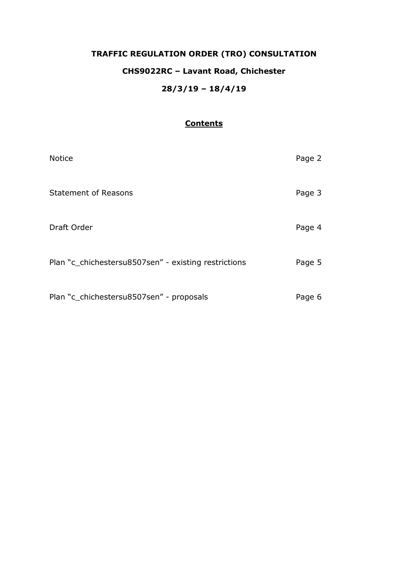# **TRAFFIC REGULATION ORDER (TRO) CONSULTATION CHS9022RC – Lavant Road, Chichester 28/3/19 – 18/4/19**

## **Contents**

| <b>Notice</b>                                        | Page 2 |
|------------------------------------------------------|--------|
| <b>Statement of Reasons</b>                          | Page 3 |
| Draft Order                                          | Page 4 |
| Plan "c_chichestersu8507sen" - existing restrictions | Page 5 |
| Plan "c_chichestersu8507sen" - proposals             | Page 6 |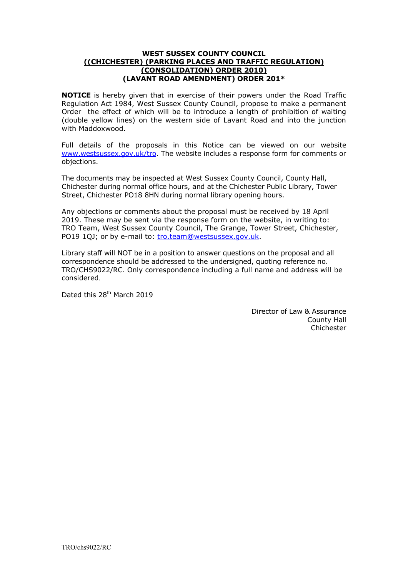## **WEST SUSSEX COUNTY COUNCIL ((CHICHESTER) (PARKING PLACES AND TRAFFIC REGULATION) (CONSOLIDATION) ORDER 2010) (LAVANT ROAD AMENDMENT) ORDER 201\***

**NOTICE** is hereby given that in exercise of their powers under the Road Traffic Regulation Act 1984, West Sussex County Council, propose to make a permanent Order the effect of which will be to introduce a length of prohibition of waiting (double yellow lines) on the western side of Lavant Road and into the junction with Maddoxwood.

Full details of the proposals in this Notice can be viewed on our website [www.westsussex.gov.uk/tro.](http://www.westsussex.gov.uk/tro) The website includes a response form for comments or objections.

The documents may be inspected at West Sussex County Council, County Hall, Chichester during normal office hours, and at the Chichester Public Library, Tower Street, Chichester PO18 8HN during normal library opening hours.

Any objections or comments about the proposal must be received by 18 April 2019. These may be sent via the response form on the website, in writing to: TRO Team, West Sussex County Council, The Grange, Tower Street, Chichester, PO19 1QJ; or by e-mail to: [tro.team@westsussex.gov.uk.](mailto:tro.team@westsussex.gov.uk)

Library staff will NOT be in a position to answer questions on the proposal and all correspondence should be addressed to the undersigned, quoting reference no. TRO/CHS9022/RC. Only correspondence including a full name and address will be considered.

Dated this 28<sup>th</sup> March 2019

Director of Law & Assurance County Hall Chichester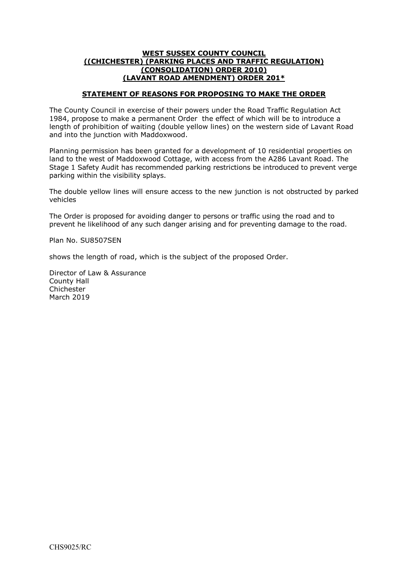## **WEST SUSSEX COUNTY COUNCIL ((CHICHESTER) (PARKING PLACES AND TRAFFIC REGULATION) (CONSOLIDATION) ORDER 2010) (LAVANT ROAD AMENDMENT) ORDER 201\***

## **STATEMENT OF REASONS FOR PROPOSING TO MAKE THE ORDER**

The County Council in exercise of their powers under the Road Traffic Regulation Act 1984, propose to make a permanent Order the effect of which will be to introduce a length of prohibition of waiting (double yellow lines) on the western side of Lavant Road and into the junction with Maddoxwood.

Planning permission has been granted for a development of 10 residential properties on land to the west of Maddoxwood Cottage, with access from the A286 Lavant Road. The Stage 1 Safety Audit has recommended parking restrictions be introduced to prevent verge parking within the visibility splays.

The double yellow lines will ensure access to the new junction is not obstructed by parked vehicles

The Order is proposed for avoiding danger to persons or traffic using the road and to prevent he likelihood of any such danger arising and for preventing damage to the road.

Plan No. SU8507SEN

shows the length of road, which is the subject of the proposed Order.

Director of Law & Assurance County Hall Chichester March 2019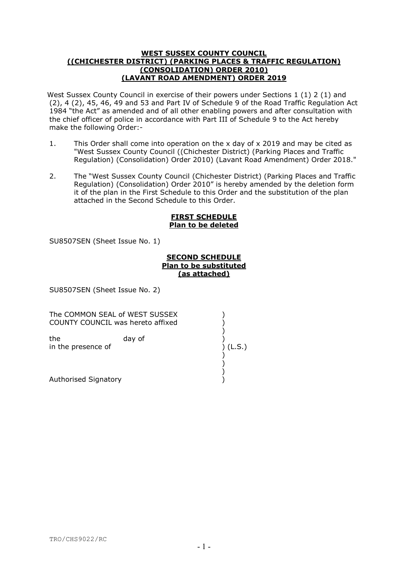#### **WEST SUSSEX COUNTY COUNCIL ((CHICHESTER DISTRICT) (PARKING PLACES & TRAFFIC REGULATION) (CONSOLIDATION) ORDER 2010) (LAVANT ROAD AMENDMENT) ORDER 2019**

West Sussex County Council in exercise of their powers under Sections 1 (1) 2 (1) and (2), 4 (2), 45, 46, 49 and 53 and Part IV of Schedule 9 of the Road Traffic Regulation Act 1984 "the Act" as amended and of all other enabling powers and after consultation with the chief officer of police in accordance with Part III of Schedule 9 to the Act hereby make the following Order:-

- 1. This Order shall come into operation on the x day of x 2019 and may be cited as "West Sussex County Council ((Chichester District) (Parking Places and Traffic Regulation) (Consolidation) Order 2010) (Lavant Road Amendment) Order 2018."
- 2. The "West Sussex County Council (Chichester District) (Parking Places and Traffic Regulation) (Consolidation) Order 2010" is hereby amended by the deletion form it of the plan in the First Schedule to this Order and the substitution of the plan attached in the Second Schedule to this Order.

## **FIRST SCHEDULE Plan to be deleted**

SU8507SEN (Sheet Issue No. 1)

## **SECOND SCHEDULE Plan to be substituted (as attached)**

SU8507SEN (Sheet Issue No. 2)

The COMMON SEAL of WEST SUSSEX COUNTY COUNCIL was hereto affixed )

)

)

 ) the day of in the presence of ) (L.S.)

 ) Authorised Signatory (1999)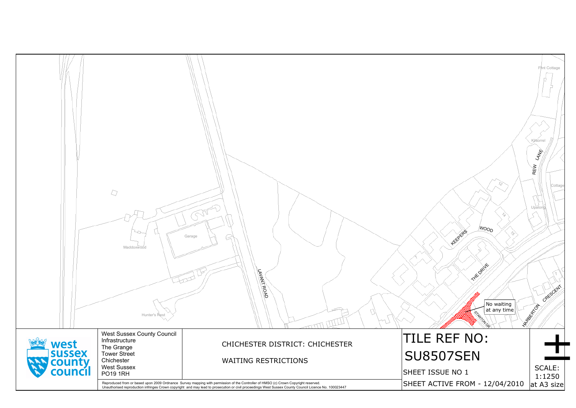|                   | D<br>Maddoxwood<br>Hunter's Rest                                                                       | Garage<br>LAVANT ROAD                                                                                                                                                                                                             |                              |
|-------------------|--------------------------------------------------------------------------------------------------------|-----------------------------------------------------------------------------------------------------------------------------------------------------------------------------------------------------------------------------------|------------------------------|
| west<br>sussex    | <b>West Sussex County Council</b><br>Infrastructure<br>The Grange<br><b>Tower Street</b><br>Chichester | CHICHESTER DISTRICT: CHICHESTER<br><b>WAITING RESTRICTIONS</b>                                                                                                                                                                    | TILE.<br><b>SU85</b>         |
| county<br>council | <b>West Sussex</b><br><b>PO19 1RH</b>                                                                  | Reproduced from or based upon 2009 Ordnance Survey mapping with permission of the Controller of HMSO (c) Crown Copyright reserved.<br>Unauthorised reproduction infringes Crown copyright and may lead to prosecution or civil pr | <b>SHEET ISS</b><br>SHEET AC |
|                   |                                                                                                        |                                                                                                                                                                                                                                   |                              |